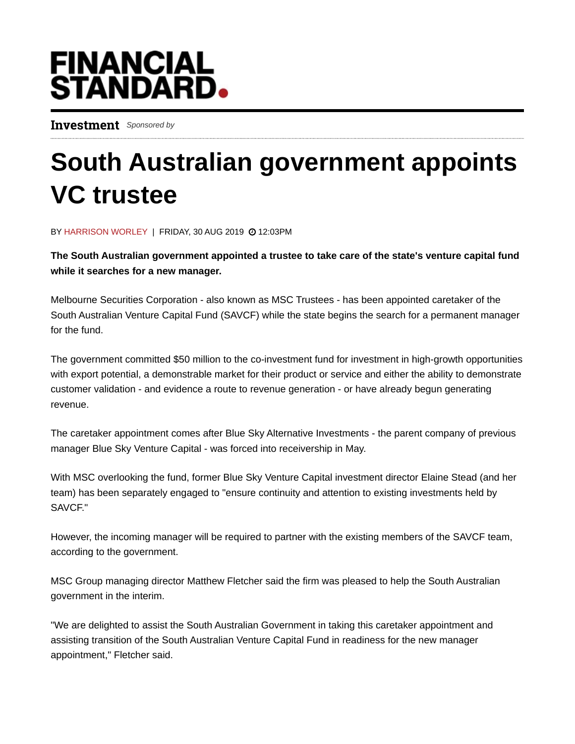## **FINANCIAL<br>STANDARD.**

Investment Sponsored by

## South Australian government appoints VC trustee

BY HARRISON WORLEY | FRIDAY, 30 AUG 2019 @ 12:03PM

The South Australian government appointed a trustee to take care of the state's venture capital fund while it searches for a new manager.

Melbourne Securities Corporation - also known as MSC Trustees - has been appointed caretaker of the South Australian Venture Capital Fund (SAVCF) while the state begins the search for a permanent manager for the fund.

The government committed \$50 million to the co-investment fund for investment in high-growth opportunities with export potential, a demonstrable market for their product or service and either the ability to demonstrate customer validation - and evidence a route to revenue generation - or have already begun generating revenue.

The caretaker appointment comes after Blue Sky Alternative Investments - the parent company of previous manager Blue Sky Venture Capital - was forced into receivership in May.

With MSC overlooking the fund, former Blue Sky Venture Capital investment director Elaine Stead (and her team) has been separately engaged to "ensure continuity and attention to existing investments held by SAVCF."

However, the incoming manager will be required to partner with the existing members of the SAVCF team, according to the government.

MSC Group managing director Matthew Fletcher said the firm was pleased to help the South Australian government in the interim.

"We are delighted to assist the South Australian Government in taking this caretaker appointment and assisting transition of the South Australian Venture Capital Fund in readiness for the new manager appointment," Fletcher said.